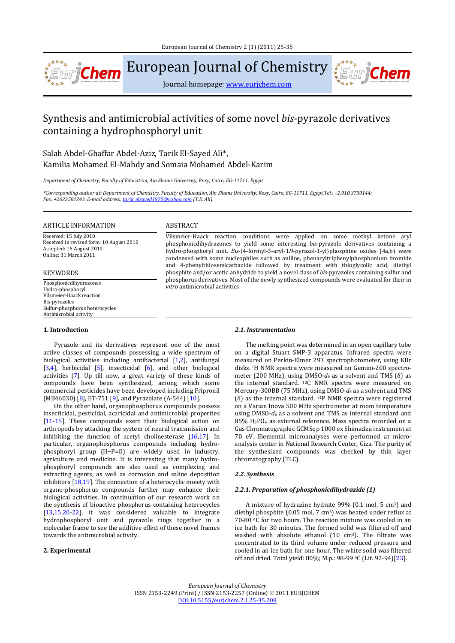

European Journal of Chemistry

Journal homepage: www.eurjchem.com

# Synthesis and antimicrobial activities of some novel *bis*-pyrazole derivatives containing a hydrophosphoryl unit

Salah Abdel-Ghaffar Abdel-Aziz, Tarik El-Sayed Ali\*, Kamilia Mohamed El-Mahdy and Somaia Mohamed Abdel-Karim

*Department of Chemistry, Faculty of Education, Ain Shams University, Roxy, Cairo, EG‐11711, Egypt*

\*Corresponding author at: Department of Chemistry, Faculty of Education, Ain Shams University, Roxy, Cairo, EG-11711, Egypt.Tel.: +2.010.3730144; *Fax: +2022581243. E‐mail address: tarik\_elsayed1975@yahoo.com (T.E. Ali).*

#### ARTICLE INFORMATION ABSTRACT

Received: 15 July 2010 Received in revised form: 10 August 2010 Accepted: 16 August 2010 Online: 31 March 2011

#### KEYWORDS

Hydro‐phosphoryl Vilsmeier‐Haack reaction Bis‐pyrazoles Sulfur-phosphorus heterocycles Antimicrobial activity

# **1. Introduction**

Vilsmeier-Haack reaction conditions were applied on some methyl ketone aryl phosphonicdihydrazones to yield some interesting *bis*-pyrazole derivatives containing a hydro-phosphoryl unit. *Bis*-{4-formyl-3-aryl-1*H*-pyrazol-1-yl}phosphine oxides (4a,b) were condensed with some nucleophiles such as aniline, phenacyltriphenylphosphonium bromide and 4-phenylthiosemicarbazide followed by treatment with thioglycolic acid, diethyl phosphite and/or acetic anhydride to yield a novel class of *bis*-pyrazoles containing sulfur and phosphorus derivatives. Most of the newly synthesized compounds were evaluated for their in *vitro* antimicrobial activities. We have the phosphonical property of the phosphonic vitro antimicrobial activities.

Pyrazole and its derivatives represent one of the most active classes of compounds possessing a wide spectrum of biological activities including antibacterial [1,2], antifungal  $[3,4]$ , herbicidal  $[5]$ , insecticidal  $[6]$ , and other biological activities [7]. Up till now, a great variety of these kinds of compounds have been synthesized, among which some commercial pesticides have been developed including Fripronil (MB46030) [8], ET-751 [9], and Pyrazolate  $(A-544)$  [10].

On the other hand, organophosphorus compounds possess insecticidal, pesticidal, acaricidal and antimicrobial properties [11-15]. These compounds exert their biological action on arthropods by attacking the system of neural transmission and inhibiting the function of acetyl cholinesterase  $[16,17]$ . In particular, organophosphorus compounds including hydrophosphoryl group (H-P=O) are widely used in industry, agriculture and medicine. It is interesting that many hydrophosphoryl compounds are also used as complexing and extracting agents, as well as corrosion and saline deposition inhibitors  $[18,19]$ . The connection of a heterocyclic moiety with organo-phosphorus compounds further may enhance their biological activities. In continuation of our research work on the synthesis of bioactive phosphorus containing heterocycles  $[13,15,20-22]$ , it was considered valuable to integrate hydrophosphoryl unit and pyrazole rings together in a molecular frame to see the additive effect of these novel frames towards the antimicrobial activity.

#### **2. Experimental**

# *2.1. Instrumentation*

The melting point was determined in an open capillary tube on a digital Stuart SMP-3 apparatus. Infrared spectra were measured on Perkin-Elmer 293 spectrophotometer, using KBr disks. <sup>1</sup>H NMR spectra were measured on Gemini-200 spectrometer (200 MHz), using DMSO- $d_6$  as a solvent and TMS ( $\delta$ ) as the internal standard. <sup>13</sup>C NMR spectra were measured on Mercury-300BB (75 MHz), using DMSO- $d_6$  as a solvent and TMS  $(\delta)$  as the internal standard. <sup>31</sup>P NMR spectra were registered on a Varian Inova 500 MHz spectrometer at room temperature using DMSO- $d_6$  as a solvent and TMS as internal standard and 85% H<sub>3</sub>PO<sub>4</sub> as external reference. Mass spectra recorded on a Gas Chromatographic GCMSqp 1000 ex Shimadzu instrument at 70 eV. Elemental microanalyses were performed at microanalysis center in National Research Center, Giza. The purity of the synthesized compounds was checked by thin layer chromatography (TLC).

wri**Chen** 

#### *2.2. Synthesis*

#### *2.2.1. Preparation of phosphonicdihydrazide (1)*

A mixture of hydrazine hydrate 99% (0.1 mol, 5 cm<sup>3</sup>) and diethyl phosphite  $(0.05 \text{ mol}, 7 \text{ cm}^3)$  was heated under reflux at 70-80  $\circ$ C for two hours. The reaction mixture was cooled in an ice bath for 30 minutes. The formed solid was filtered off and washed with absolute ethanol  $(10 \text{ cm}^3)$ . The filtrate was concentrated to its third volume under reduced pressure and cooled in an ice bath for one hour. The white solid was filtered off and dried. Total yield: 80%; M.p.: 98-99 °C (Lit. 92-94)[23].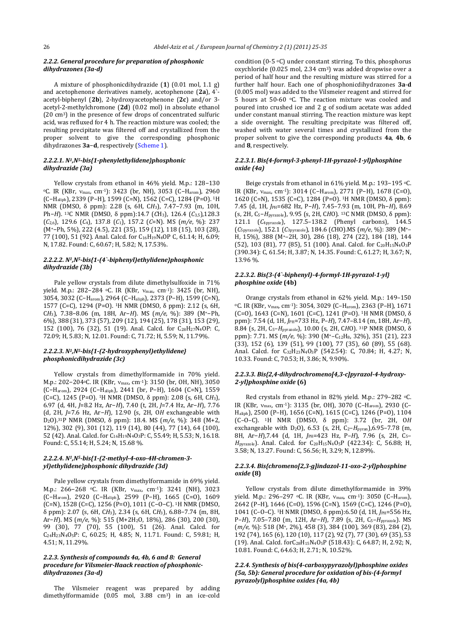#### *2.2.2. General procedure for preparation of phosphonic dihydrazones (3a‐d)*

A mixture of phosphonicdihydrazide (1) (0.01 mol, 1.1 g) and acetophenone derivatives namely, acetophenone (2a), 4`acetyl-biphenyl (2b), 2-hydroxyacetophenone (2c) and/or 3acetyl-2-methylchromone (2d) (0.02 mol) in absolute ethanol  $(20 \text{ cm}^3)$  in the presence of few drops of concentrated sulfuric acid, was refluxed for 4 h. The reaction mixture was cooled; the resulting precipitate was filtered off and crystallized from the proper solvent to give the corresponding phosphonic dihydrazones **3a-d**, respectively (Scheme 1).

## *2.2.2.1. N1,N5‐bis{1‐phenylethylidene}phosphonic dihydrazide (3a)*

Yellow crystals from ethanol in 46% yield. M.p.: 128-130 <sup>o</sup>C. IR (KBr, v<sub>max</sub>, cm<sup>-1</sup>): 3423 (br, NH), 3053 (C-H<sub>arom</sub>), 2960 (C−Haliph), 2339 (P−H), 1599 (C=N), 1562 (C=C), 1284 (P=O). 1H NMR (DMSO, δ ppm): 2.28 (s, 6H, CH<sub>3</sub>), 7.47-7.93 (m, 10H, Ph−*H*). <sup>13</sup>C NMR (DMSO, δ ppm):14.7 (*C*H<sub>3</sub>), 126.4 (*C*<sub>3,5</sub>),128.3  $(C_{2,6})$ , 129.6  $(C_4)$ , 137.8  $(C_1)$ , 157.2  $(C=N)$ . MS  $(m/e, %)$ : 237 (M+−Ph, 5%), 222 (4.5), 221 (35), 159 (12), 118 (15), 103 (28), 77 (100), 51 (92). Anal. Calcd. for C<sub>16</sub>H<sub>19</sub>N<sub>4</sub>OP C, 61.14; H, 6.09; N, 17.82. Found: C, 60.67; H, 5.82; N, 17.53%.

#### *2.2.2.2. N1,N5‐bis{1‐(4`‐biphenyl)ethylidene}phosphonic dihydrazide (3b)*

Pale yellow crystals from dilute dimethylsulfoxide in 71% yield. M.p.: 282−284 °C. IR (KBr, v<sub>max</sub>, cm<sup>-1</sup>): 3425 (br, NH), 3054, 3032 (C-H<sub>arom</sub>), 2964 (C-H<sub>aliph</sub>), 2373 (P-H), 1599 (C=N), 1577 (C=C), 1294 (P=O). <sup>1</sup>H NMR (DMSO,  $\delta$  ppm): 2.12 (s, 6H, C*H*3), 7.38−8.06 (m, 18H, Ar−*H*). MS (*m/e*, %): 389 (M+−Ph, 6%), 388 (31), 373 (57), 209 (12), 194 (25), 178 (31), 153 (29), 152 (100), 76 (32), 51 (19). Anal. Calcd. for C<sub>28</sub>H<sub>27</sub>N<sub>4</sub>OP: C, 72.09; H, 5.83; N, 12.01. Found: C, 71.72; H, 5.59; N, 11.79%.

#### *2.2.2.3. N1,N5‐bis{1‐(2‐hydroxyphenyl)ethylidene} phosphonicdihydrazide (3c)*

Yellow crystals from dimethylformamide in 70% yield. M.p.: 202−204 °C. IR (KBr, v<sub>max</sub>, cm<sup>-1</sup>): 3150 (br, OH, NH), 3050 (C−Harom), 2924 (C−Haliph), 2441 (br, P−H), 1604 (C=N), 1559 (C=C),  $1245$  (P=O). <sup>1</sup>H NMR (DMSO,  $\delta$  ppm): 2.08 (s, 6H, CH<sub>3</sub>), 6.97 (d, 4H, *J*=8.2 Hz, Ar−*H*), 7.40 (t, 2H, *J*=7.4 Hz, Ar−*H*), 7.76 (d, 2H, *J*=7.6 Hz, Ar−*H*), 12.90 (s, 2H, O*H* exchangeable with D<sub>2</sub>O).<sup>31</sup>P NMR (DMSO, δ ppm): 18.4. MS (*m/e*, %): 348 (M+2, 12%), 302 (9), 301 (12), 119 (14), 80 (44), 77 (14), 64 (100), 52 (42). Anal. Calcd. for C<sub>16</sub>H<sub>19</sub>N<sub>4</sub>O<sub>3</sub>P: C, 55.49; H, 5.53; N, 16.18. Found: C, 55.14; H, 5.24; N, 15.68 %.

# *2.2.2.4. N1,N5‐bis{1‐(2‐methyl‐4‐oxo‐4H‐chromen‐3‐ yl)ethylidene}phosphonic dihydrazide (3d)*

Pale yellow crystals from dimethylformamide in 69% yield. M.p.: 266-268 °C. IR (KBr, v<sub>max</sub>, cm<sup>-1</sup>): 3241 (NH), 3023 (C−Harom), 2920 (C−Haliph), 2599 (P−H), 1665 (C=O), 1609 (C=N), 1528 (C=C), 1256 (P=O), 1011 (C−O−C). 1H NMR (DMSO, δ ppm): 2.07 (s, 6H, C*H*3), 2.34 (s, 6H, C*H*3), 6.88−7.74 (m, 8H, Ar-*H*). MS (*m/e*, %): 515 (M+2H<sub>2</sub>O, 18%), 286 (30), 200 (30), 99 (30), 77 (70), 55 (100), 51 (26). Anal. Calcd. for C<sub>24</sub>H<sub>23</sub>N<sub>4</sub>O<sub>5</sub>P: C, 60.25; H, 4.85; N, 11.71. Found: C, 59.81; H, 4.51; N, 11.29%.

# *2.2.3. Synthesis of compounds 4a, 4b, 6 and 8: General procedure for Vilsmeier‐Haack reaction of phosphonic‐ dihydrazones (3a‐d)*

The Vilsmeier reagent was prepared by adding dimethylformamide (0.05 mol, 3.88 cm<sup>3</sup>) in an ice-cold condition  $(0-5 \text{ } ^\circ \text{C})$  under constant stirring. To this, phosphorus oxychloride (0.025 mol, 2.34 cm<sup>3</sup>) was added dropwise over a period of half hour and the resulting mixture was stirred for a further half hour. Each one of phosphonicdihydrazones  $3a-d$ (0.005 mol) was added to the Vilsmeier reagent and stirred for 5 hours at 50-60 °C. The reaction mixture was cooled and poured into crushed ice and 2 g of sodium acetate was added under constant manual stirring. The reaction mixture was kept a side overnight. The resulting precipitate was filtered off, washed with water several times and crystallized from the proper solvent to give the corresponding products **4a**, **4b**, **6** and 8, respectively.

#### *2.2.3.1. Bis{4‐formyl‐3‐phenyl‐1H‐pyrazol‐1‐yl}phosphine oxide (4a)*

Beige crystals from ethanol in 61% yield. M.p.: 193-195 °C. IR (KBr, v<sub>max</sub>, cm<sup>-1</sup>): 3014 (C−H<sub>arom</sub>), 2771 (P−H), 1678 (C=O), 1620 (C=N), 1535 (C=C), 1284 (P=O). <sup>1</sup>H NMR (DMSO, δ ppm): 7.45 (d, 1H, *J*PH=682 Hz, P−*H*), 7.45–7.93 (m, 10H, Ph−*H*), 8.69 (s, 2H, C5−*H*pyrazole), 9.95 (s, 2H, C*H*O). 13C NMR (DMSO, δ ppm): 121.1 (*C*<sub>4pyrazole</sub>), 127.5–138.2 (Phenyl carbons), 144.5 (*C*5pyrazole), 152.1 (*C*3pyrazole), 184.6 (*C*HO).MS (*m/e*, %): 389 (M+– H, 15%), 388 (M<sup>+</sup>-2H, 30), 286 (18), 274 (22), 184 (18), 144 (52), 103 (81), 77 (85), 51 (100). Anal. Calcd. for C<sub>20</sub>H<sub>15</sub>N<sub>4</sub>O<sub>3</sub>P (390.34): C, 61.54; H, 3.87; N, 14.35. Found: C, 61.27; H, 3.67; N, 13.96 %. 

## *2.2.3.2. Bis{3‐(4`‐biphenyl)‐4‐formyl‐1H‐pyrazol‐1‐yl} phosphine oxide* **(4b)**

Orange crystals from ethanol in 62% yield. M.p.: 149-150 <sup>o</sup>C. IR (KBr,  $v_{\text{max}}$ , cm<sup>-1</sup>): 3054, 3029 (C–H<sub>arom</sub>), 2363 (P–H), 1671  $(C=0)$ , 1643  $(C=N)$ , 1601  $(C=C)$ , 1241  $(P=0)$ . <sup>1</sup>H NMR (DMSO,  $\delta$ ppm): 7.54 (d, 1H, *J*PH=733 Hz, P–*H*), 7.47–8.14 (m, 18H, Ar−*H*), 8.84 (s, 2H, C<sub>5</sub>-*H*<sub>pyrazole</sub>), 10.00 (s, 2H, C*H*O). <sup>31</sup>P NMR (DMSO, δ ppm): 7.71. MS (m/e, %): 390 (M<sup>+</sup>-C<sub>12</sub>H<sub>8</sub>, 32%), 351 (21), 223 (33), 152 (6), 139 (51), 99 (100), 77 (35), 60 (89), 55 (68). Anal. Calcd. for C<sub>32</sub>H<sub>23</sub>N<sub>4</sub>O<sub>3</sub>P (542.54): C, 70.84; H, 4.27; N, 10.33. Found: C, 70.53; H, 3.86; N, 9.90%.

#### *2.2.3.3. Bis{2,4‐dihydrochromeno[4,3‐c]pyrazol‐4‐hydroxy‐ 2‐yl}phosphine oxide* **(6)**

Red crystals from ethanol in 82% yield. M.p.: 279-282  $\circ$ C. IR (KBr,  $v_{\text{max}}$ , cm<sup>-1</sup>): 3135 (br, OH), 3070 (C–H<sub>arom</sub>), 2930 (C– H<sub>aliph</sub>), 2500 (P-H), 1656 (C=N), 1615 (C=C), 1246 (P=O), 1104 (C–O–C). 1H NMR (DMSO, δ ppm): 3.72 (br, 2H, O*H* exchangeable with  $D_2O$ ), 6.53 (s, 2H,  $C_2-H_{pyran}$ ),6.95–7.78 (m, 8H, Ar−*H*),7.44 (d, 1H, *J*PH=423 Hz, P-*H*), 7.96 (s, 2H, C<sub>5</sub>– H<sub>pyrazole</sub>). Anal. Calcd. for C<sub>20</sub>H<sub>15</sub>N<sub>4</sub>O<sub>5</sub>P (422.34): C, 56.88; H, 3.58; N, 13.27. Found: C, 56.56; H, 3.29; N, 12.89%.

#### *2.2.3.4. Bis{chromeno[2,3‐g]indazol‐11‐oxo‐2‐yl}phosphine oxide* **(8)**

Yellow crystals from dilute dimethylformamide in 39% yield. M.p.: 296-297 °C. IR (KBr,  $v_{\text{max}}$ , cm<sup>-1</sup>): 3050 (C-H<sub>arom</sub>), 2642 (P-H), 1646 (C=O), 1596 (C=N), 1569 (C=C), 1246 (P=O), 1041 (C-O-C). <sup>1</sup>H NMR (DMSO, δ ppm):6.50 (d, 1H, *J*PH=556 Hz, P-*H*), 7.05-7.80 (m, 12H, Ar-*H*), 7.89 (s, 2H, C<sub>5</sub>-*H*<sub>pyrazole</sub>). MS (m/e, %): 518 (M<sup>+</sup>, 2%), 458 (3), 384 (100), 369 (83), 284 (2), 192 (74), 165 (6), 120 (10), 117 (2), 92 (7), 77 (30), 69 (35), 53 (19). Anal. Calcd. forC<sub>28</sub>H<sub>15</sub>N<sub>4</sub>O<sub>5</sub>P (518.43): C, 64.87; H, 2.92; N, 10.81. Found: C, 64.63; H, 2.71; N, 10.52%.

*2.2.4. Synthesis of bis(4‐carboxypyrazolyl)phosphine oxides (5a, 5b): General procedure for oxidation of bis‐(4‐formyl pyrazolyl)phosphine oxides (4a, 4b)*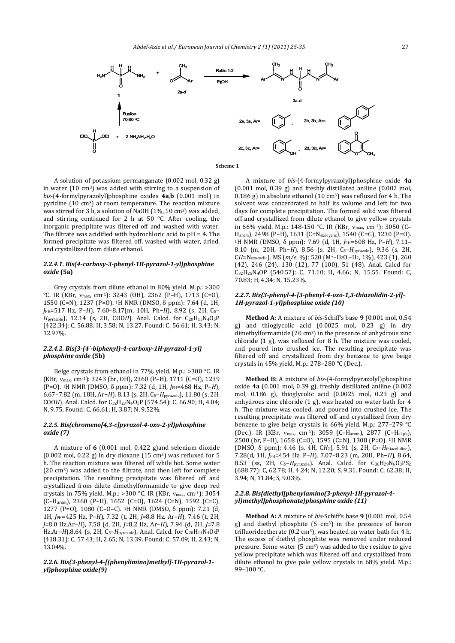

A solution of potassium permanganate  $(0.002 \text{ mol}, 0.32 \text{ g})$ in water  $(10 \text{ cm}^3)$  was added with stirring to a suspension of *bis*‐(4‐formylpyrazolyl)phosphine oxides **4a**,**b** (0.001 mol) in pyridine  $(10 \text{ cm}^3)$  at room temperature. The reaction mixture was stirred for 3 h, a solution of NaOH  $(1\%, 10 \text{ cm}^3)$  was added, and stirring continued for 2 h at 50  $\degree$ C. After cooling, the inorganic precipitate was filtered off and washed with water. The filtrate was acidified with hydrochloric acid to  $pH = 4$ . The formed precipitate was filtered off, washed with water, dried, and crystallized from dilute ethanol.

#### *2.2.4.1. Bis{4‐carboxy‐3‐phenyl‐1H‐pyrazol‐1‐yl}phosphine oxide* **(5a)**

Grey crystals from dilute ethanol in  $80\%$  yield. M.p.:  $>300$ °C. IR (KBr, v<sub>max</sub>, cm<sup>-1</sup>): 3243 (OH), 2362 (P-H), 1713 (C=O), 1550 (C=N), 1237 (P=O). <sup>1</sup>H NMR (DMSO, δ ppm): 7.64 (d, 1H, *J*PH=517 Hz, P–*H*), 7.60–8.17(m, 10H, Ph−*H*), 8.92 (s, 2H, C5– *H*<sub>pyrazole</sub>), 12.14 (s, 2H, COO*H*). Anal. Calcd. for C<sub>20</sub>H<sub>15</sub>N<sub>4</sub>O<sub>5</sub>P (422.34): C, 56.88; H, 3.58; N, 13.27. Found: C, 56.61; H, 3.43; N, 12.97%. 

## *2.2.4.2. Bis{3‐(4`‐biphenyl)‐4‐carboxy‐1H‐pyrazol‐1‐yl} phosphine oxide* **(5b)**

Beige crystals from ethanol in 77% yield. M.p.: >300 °C. IR (KBr,  $v_{\text{max}}$ , cm<sup>-1</sup>): 3243 (br, OH), 2360 (P-H), 1711 (C=O), 1239 (P=O). 1H NMR (DMSO, δ ppm): 7.32 (d, 1H, *J*PH=468 Hz, P–*H*), 6.67–7.82 (m, 18H, Ar−*H*), 8.13 (s, 2H, C5–*H*pyrazole), 11.80 (s, 2H, COO*H*). Anal. Calcd. for  $C_{32}H_{23}N_4O_5P$  (574.54): C, 66.90; H, 4.04; N, 9.75. Found: C, 66.61; H, 3.87; N, 9.52%.

#### *2.2.5. Bis{chromeno[4,3‐c]pyrazol‐4‐oxo‐2‐yl}phosphine oxide (7)*

A mixture of  $6 \times (0.001 \text{ mol}, 0.422 \text{ g})$  and selenium dioxide (0.002 mol, 0.22 g) in dry dioxane  $(15 \text{ cm}^3)$  was refluxed for 5 h. The reaction mixture was filtered off while hot. Some water  $(20 \text{ cm}^3)$  was added to the filtrate, and then left for complete precipitation. The resulting precipitate was filtered off and crystallized from dilute dimethylformamide to give deep red crystals in 75% yield. M.p.: >300 °C. IR (KBr,  $v_{\text{max}}$ , cm<sup>-1</sup>): 3054  $(C-H_{arom})$ , 2360 (P-H), 1652 (C=O), 1624 (C=N), 1592 (C=C), 1277 (P=O), 1080 (C–O–C). <sup>1</sup>H NMR (DMSO,  $\delta$  ppm): 7.21 (d, 1H, *J*PH=425 Hz, P–*H*), 7.32 (t, 2H, *J=*8.8 Hz, Ar–*H*), 7.46 (t, 2H, *J=*8.0 Hz,Ar–*H*), 7.58 (d, 2H, *J=*8.2 Hz, Ar–*H*), 7.94 (d, 2H, *J=*7.8 Hz,Ar-*H*),8.64 (s, 2H, C<sub>5</sub>-H<sub>pyrazole</sub>). Anal. Calcd. for C<sub>20</sub>H<sub>11</sub>N<sub>4</sub>O<sub>5</sub>P (418.31): C, 57.43; H, 2.65; N, 13.39. Found: C, 57.09; H, 2.43; N, 13.04%. 

*2.2.6. Bis{3‐phenyl‐4‐[(phenylimino)methyl]‐1H‐pyrazol‐1‐ yl}phosphine oxide(9)*

A mixture of *bis*‐(4‐formylpyrazolyl)phosphine oxide **4a**  $(0.001 \text{ mol}, 0.39 \text{ g})$  and freshly distillated aniline  $(0.002 \text{ mol},$ 0.186 g) in absolute ethanol (10 cm<sup>3</sup>) was refluxed for 4 h. The solvent was concentrated to half its volume and left for two days for complete precipitation. The formed solid was filtered off and crystallized from dilute ethanol to give yellow crystals in 66% yield. M.p.: 148-150 °C. IR (KBr, v<sub>max</sub>, cm<sup>-1</sup>): 3050 (C– H<sub>arom</sub>), 2498 (P-H), 1631 (C=N<sub>exocyclic</sub>), 1540 (C=C), 1230 (P=O). <sup>1</sup>H NMR (DMSO, δ ppm): 7.69 (d, 1H, *J*<sub>PH</sub>=608 Hz, P–*H*), 7.11– 8.10 (m, 20H, Ph−*H*), 8.56 (s, 2H, C5–*H*pyrazole), 9.36 (s, 2H, CH=N<sub>exocyclic</sub>). MS (m/e, %): 520 (M<sup>+</sup>-H<sub>2</sub>O<sub>r</sub>-H<sub>2</sub>, 1%), 423 (1), 260 (42), 246 (24), 130 (12), 77 (100), 51 (48). Anal. Calcd for C<sub>32</sub>H<sub>25</sub>N<sub>4</sub>OP (540.57): C, 71.10; H, 4.66; N, 15.55. Found: C, 70.83; H, 4.34; N, 15.23%.

# *2.2.7. Bis{3‐phenyl‐4‐[3‐phenyl‐4‐oxo‐1,3‐thiazolidin‐2‐yl]‐ 1H‐pyrazol‐1‐yl}phosphine oxide (10)*

**Method** A: A mixture of bis-Schiff's base 9 (0.001 mol, 0.54) g) and thioglycolic acid (0.0025 mol, 0.23 g) in dry dimethylformamide  $(20 \text{ cm}^3)$  in the presence of anhydrous zinc chloride  $(1 \text{ g})$ , was refluxed for  $8 \text{ h}$ . The mixture was cooled, and poured into crushed ice. The resulting precipitate was filtered off and crystallized from dry benzene to give beige crystals in 45% yield. M.p.: 278-280  $^{\circ}$ C (Dec.).

**Method B:** A mixture of bis-(4-formylpyrazolyl)phosphine oxide 4a (0.001 mol, 0.39 g), freshly distillated aniline (0.002 mol, 0.186 g), thioglycolic acid (0.0025 mol, 0.23 g) and anhydrous zinc chloride  $(1 g)$ , was heated on water bath for 4 h. The mixture was cooled, and poured into crushed ice. The resulting precipitate was filtered off and crystallized from dry benzene to give beige crystals in 66% yield. M.p.: 277-279  $°C$ (Dec.). IR (KBr,  $v_{\text{max}}$ , cm<sup>-1</sup>): 3059 (C–H<sub>arom</sub>), 2877 (C–H<sub>aliph</sub>), 2500 (br, P-H), 1658 (C=O), 1595 (C=N), 1308 (P=O). <sup>1</sup>H NMR (DMSO, δ ppm): 4.46 (s, 4H, CH<sub>2</sub>), 5.91 (s, 2H, C<sub>2</sub>–H<sub>thiazolidine</sub>), 7.28(d, 1H, *J*PH=454 Hz, P–*H*), 7.07–8.23 (m, 20H, Ph−*H*), 8.64, 8.53 (ss, 2H, C<sub>5</sub>-H<sub>pyrazole</sub>). Anal. Calcd. for C<sub>36</sub>H<sub>29</sub>N<sub>6</sub>O<sub>3</sub>PS<sub>2</sub> (688.77): C, 62.78; H, 4.24; N, 12.20; S, 9.31. Found: C, 62.38; H, 3.94; N, 11.84; S, 9.03%.

#### *2.2.8. Bis{diethyl[phenylamino(3‐phenyl‐1H‐pyrazol‐4‐ yl)methyl]phosphonate}phosphine oxide (11)*

**Method A:** A mixture of bis-Schiff's base 9 (0.001 mol, 0.54) g) and diethyl phosphite  $(5 \text{ cm}^3)$  in the presence of boron trifluorideetherate  $(0.2 \text{ cm}^3)$ , was heated on water bath for 4 h. The excess of diethyl phosphite was removed under reduced pressure. Some water  $(5 \text{ cm}^3)$  was added to the residue to give yellow precipitate which was filtered off and crystallized from dilute ethanol to give pale yellow crystals in  $68\%$  yield. M.p.: 99-100 °C.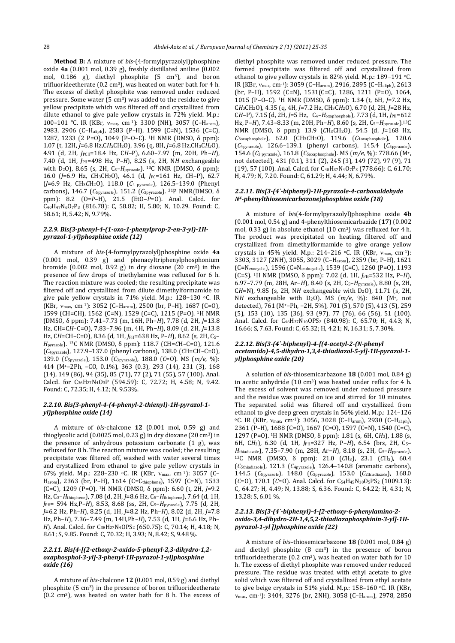**Method B:** A mixture of *bis*-(4-formylpyrazolyl)phosphine oxide 4a (0.001 mol, 0.39 g), freshly distillated aniline (0.002 mol, 0.186 g), diethyl phosphite (5 cm<sup>3</sup>), and boron trifluorideetherate  $(0.2 \text{ cm}^3)$ , was heated on water bath for 4 h. The excess of diethyl phosphite was removed under reduced pressure. Some water  $(5 \text{ cm}^3)$  was added to the residue to give yellow precipitate which was filtered off and crystallized from dilute ethanol to give pale yellow crystals in  $72\%$  yield. M.p.: 100–101 °C. IR (KBr,  $v_{\text{max}}$ , cm<sup>-1</sup>): 3300 (NH), 3057 (C–H<sub>arom</sub>), 2983, 2906 (C-Haliph), 2583 (P-H), 1599 (C=N), 1536 (C=C), 1287, 1233 (2 P=0), 1049 (P-O-C). <sup>1</sup>H NMR (DMSO,  $\delta$  ppm): 1.07 (t, 12H, *J*=6.8 Hz,C*H3*CH2O), 3.96 (q, 8H, *J*=6.8 Hz,CH3C*H2*O), 4.91 (d, 2H, *J*PCH=18.4 Hz, C*H*–P), 6.60–7.97 (m, 20H, Ph−*H*), 7.40 (d, 1H, *J*PH=498 Hz, P-H), 8.25 (s, 2H, NH exchangeable with D<sub>2</sub>O), 8.65 (s, 2H, C<sub>5</sub>-*H*<sub>pyrazole</sub>). <sup>13</sup>C NMR (DMSO, δ ppm): 16.0 (*J*=6.9 Hz, *C*H<sub>3</sub>CH<sub>2</sub>O), 46.1 (d, *J*PC=161 Hz, *C*H-P), 62.7 (*J*=6.9 Hz, CH3*C*H2O), 118.0 (*C*4 pyrazole), 126.5–139.0 (Phenyl carbons), 146.7 (*C*<sub>5pyrazole</sub>), 151.2 (*C*<sub>3pyrazole</sub>). <sup>31</sup>P NMR(DMSO, δ ppm): 8.2 (O=*P*–H), 21.5 (EtO–*P*=O). Anal. Calcd. for C<sub>40</sub>H<sub>47</sub>N<sub>6</sub>O<sub>7</sub>P<sub>3</sub> (816.78): C, 58.82; H, 5.80; N, 10.29. Found: C, 58.61; H, 5.42; N, 9.79%.

# 2.2.9. Bis{3-phenyl-4-(1-oxo-1-phenylprop-2-en-3-yl)-1H*pyrazol‐1‐yl}phosphine oxide (12)*

A mixture of *bis*‐(4‐formylpyrazolyl)phosphine oxide **4a** (0.001 mol, 0.39 g) and phenacyltriphenylphosphonium bromide  $(0.002 \text{ mol}, 0.92 \text{ g})$  in dry dioxane  $(20 \text{ cm}^3)$  in the presence of few drops of triethylamine was refluxed for 6 h. The reaction mixture was cooled; the resulting precipitate was filtered off and crystallized from dilute dimethylformamide to give pale yellow crystals in 71% yield. M.p.: 128-130 °C. IR (KBr,  $v_{\text{max}}$ , cm<sup>-1</sup>): 3052 (C–H<sub>arom</sub>), 2500 (br, P–H), 1687 (C=O), 1599 (CH=CH), 1562 (C=N), 1529 (C=C), 1215 (P=O). <sup>1</sup>H NMR (DMSO, δ ppm): 7.41–7.73 (m, 16H, Ph−*H*), 7.78 (d, 2H, *J*=13.8 Hz, CH=CH-C=O), 7.83-7.96 (m, 4H, Ph-*H*), 8.09 (d, 2H, J=13.8 Hz, CH=CH-C=O), 8.36 (d, 1H, *J*PH=638 Hz, P-H), 8.62 (s, 2H, C<sub>5</sub>-*H*pyrazole). 13C NMR (DMSO, δ ppm): 118.7 (CH=*C*H–C=O), 121.6 (*C*4pyrazole), 127.9–137.0 (phenyl carbons), 138.0 (*C*H=CH–C=O), 139.0 (*C*5pyrazole), 153.0 (*C*3pyrazole), 188.0 (*C*=O). MS (*m/e*, %): 414 (M+–2Ph, –CO, 0.1%), 363 (0.3), 293 (14), 231 (3), 168 (14), 149 (86), 94 (35), 85 (71), 77 (2), 71 (55), 57 (100). Anal. Calcd. for C<sub>36</sub>H<sub>27</sub>N<sub>4</sub>O<sub>3</sub>P (594.59): C, 72.72; H, 4.58; N, 9.42. Found: C, 72.35; H, 4.12; N, 9.53%.

# *2.2.10. Bis{3‐phenyl‐4‐(4‐phenyl‐2‐thienyl)‐1H‐pyrazol‐1‐ yl}phosphine oxide (14)*

A mixture of *bis*-chalcone 12 (0.001 mol, 0.59 g) and thioglycolic acid  $(0.0025 \text{ mol}, 0.23 \text{ g})$  in dry dioxane  $(20 \text{ cm}^3)$  in the presence of anhydrous potassium carbonate  $(1\text{ g})$ , was refluxed for 8 h. The reaction mixture was cooled; the resulting precipitate was filtered off, washed with water several times and crystallized from ethanol to give pale yellow crystals in 67% yield. M.p.: 228-230 °C. IR (KBr,  $v_{\text{max}}$ , cm<sup>-1</sup>): 3057 (C-Harom), 2363 (br, P-H), 1614 (C=Cthiophene), 1597 (C=N), 1533 (C=C), 1209 (P=O). 1H NMR (DMSO, δ ppm): 6.60 (t, 2H, *J*=9.2 Hz, C<sub>3</sub>-H<sub>thiophene</sub>), 7.08 (d, 2H, J=8.6 Hz, C<sub>5</sub>-H<sub>thiophene</sub>), 7.64 (d, 1H, *J*PH= 594 Hz,P–*H*), 8.53, 8.68 (ss, 2H, C5–*H*pyrazole), 7.75 (d, 2H, *J*=6.2 Hz, Ph–*H*), 8.25 (d, 1H, *J*=8.2 Hz, Ph–*H*), 8.02 (d, 2H, *J*=7.8 Hz, Ph-*H*), 7.36-7.49 (m, 14H,Ph-*H*), 7.53 (d, 1H, J=6.6 Hz, Ph-*H*). Anal. Calcd. for C<sub>38</sub>H<sub>27</sub>N<sub>4</sub>OPS<sub>2</sub> (650.75): C, 70.14; H, 4.18; N, 8.61; S, 9.85. Found: C, 70.32; H, 3.93; N, 8.42; S, 9.48 %.

#### *2.2.11. Bis{4‐[(2‐ethoxy‐2‐oxido‐5‐phenyl‐2,3‐dihydro‐1,2‐ oxaphosphol‐3‐yl]‐3‐phenyl‐1H‐pyrazol‐1‐yl}phosphine oxide (16)*

A mixture of *bis*-chalcone **12** (0.001 mol, 0.59 g) and diethyl phosphite  $(5 \text{ cm}^3)$  in the presence of boron trifluorideetherate  $(0.2 \text{ cm}^3)$ , was heated on water bath for 8 h. The excess of diethyl phosphite was removed under reduced pressure. The formed precipitate was filtered off and crystallized from ethanol to give yellow crystals in 82% yield. M.p.: 189-191 °C. IR (KBr, v<sub>max</sub>, cm<sup>-1</sup>): 3059 (C–H<sub>arom</sub>), 2916, 2895 (C–H<sub>aliph</sub>), 2613 (br, P–H), 1592  $(C=N)$ , 1531 $(C=C)$ , 1286, 1211  $(P=0)$ , 1064, 1015 (P-O-C). <sup>1</sup>H NMR (DMSO, δ ppm): 1.34 (t, 6H, *J*=7.2 Hz, CH<sub>3</sub>CH<sub>2</sub>O), 4.35 (q, 4H, J=7.2 Hz, CH<sub>3</sub>CH<sub>2</sub>O), 6.70 (d, 2H, J=28 Hz, C*H*–P), 7.15 (d, 2H, *J*=5 Hz, C4–*H*oxaphosphole), 7.73 (d, 1H, *J*PH=612 Hz, P-*H*), 7.43-8.33 (m, 20H, Ph-*H*), 8.60 (s, 2H, C<sub>5</sub>-*H*<sub>pyrazole</sub>).<sup>13</sup>C NMR (DMSO, δ ppm): 13.9 (*C*H3CH2O), 54.5 (d, *J*=168 Hz, *C*3oxaphosphole), 62.0 (CH3*C*H2O), 119.6 (*C*4oxaphosphole), 120.6 (*C*4pyrazole), 126.6–139.1 (phenyl carbons), 145.4 (*C*5pyrazole), 154.6 (*C*3 pyrazole), 161.8 (*C*5oxaphosphole). MS (*m/e*, %): 778.66 (M+, not detected), 431 (0.1), 311 (2), 245 (3), 149 (72), 97 (9), 71 (19), 57 (100). Anal. Calcd. for C<sub>40</sub>H<sub>37</sub>N<sub>4</sub>O<sub>7</sub>P<sub>3</sub> (778.66): C, 61.70; H, 4.79; N, 7.20. Found: C, 61.29; H, 4.44; N, 6.79%.

#### *2.2.11. Bis{3‐(4`‐biphenyl)‐1H‐pyrazole‐4‐carboxaldehyde N4‐phenylthiosemicarbazone}phosphine oxide (18)*

A mixture of *bis*(4‐formylpyrazolyl)phosphine oxide **4b** (0.001 mol, 0.54 g) and 4‐phenylthiosemicarbazide (**17**) (0.002 mol,  $0.33$  g) in absolute ethanol  $(10 \text{ cm}^3)$  was refluxed for 4 h. The product was precipitated on heating, filtered off and crystallized from dimethylformamide to give orange yellow crystals in 45% yield. M.p.: 214–216  $\,^{\circ}$ C. IR (KBr,  $v_{\text{max}}$ , cm<sup>-1</sup>): 3303, 3127 (2NH), 3055, 3029 (C-H<sub>arom</sub>), 2359 (br, P-H), 1621 (C=N<sub>exocyclic</sub>), 1596 (C=N<sub>endocyclic</sub>), 1539 (C=C), 1260 (P=O), 1193 (C=S). <sup>1</sup>H NMR (DMSO,  $\delta$  ppm): 7.02 (d, 1H,  $J_{PH}$ =532 Hz, P–*H*), 6.97–7.79 (m, 28H, Ar−*H*), 8.40 (s, 2H, C5–*H*pyrazole), 8.80 (s, 2H,  $CH=N$ ), 9.85 (s, 2H, NH exchangeable with D<sub>2</sub>O), 11.71 (s, 2H, NH exchangeable with  $D_2O$ ). MS  $(m/e, %)$ : 840 (M<sup>+</sup>, not detected), 761 (M+−Ph, -2H, 5%), 701 (5), 570 (5), 413 (5), 259 (5), 153 (10), 135 (36), 93 (97), 77 (76), 66 (56), 51 (100). Anal. Calcd. for C<sub>46</sub>H<sub>37</sub>N<sub>10</sub>OPS<sub>2</sub> (840.98): C, 65.70; H, 4.43; N, 16.66; S, 7.63. Found: C, 65.32; H, 4.21; N, 16.31; S, 7.30%.

## *2.2.12. Bis{3‐(4`‐biphenyl)‐4‐[(4‐acetyl‐2‐(N‐phenyl acetamido)‐4,5‐dihydro‐1,3,4‐thiadiazol‐5‐yl]‐1H‐pyrazol‐1‐ yl}phosphine oxide (20)*

A solution of *bis*-thiosemicarbazone **18** (0.001 mol, 0.84 g) in acetic anhydride  $(10 \text{ cm}^3)$  was heated under reflux for 4 h. The excess of solvent was removed under reduced pressure and the residue was poured on ice and stirred for 10 minutes. The separated solid was filtered off and crystallized from ethanol to give deep green crystals in 56% yield. M.p.: 124-126  $^{\circ}$ C. IR (KBr,  $v_{\text{max}}$ , cm<sup>-1</sup>): 3056, 3028 (C–H<sub>arom</sub>), 2930 (C–H<sub>aliph</sub>), 2361 (P–H), 1688 (C=O), 1667 (C=O), 1597 (C=N), 1540 (C=C), 1297 (P=0). <sup>1</sup>H NMR (DMSO, δ ppm): 1.81 (s, 6H, CH<sub>3</sub>), 1.88 (s, 6H, CH<sub>3</sub>), 6.30 (d, 1H, *J*PH=327 Hz, P-H), 6.54 (brs, 2H, C<sub>5</sub>-*H*thiadiazole), 7.35–7.90 (m, 28H, Ar−*H*), 8.18 (s, 2H, C<sub>5</sub>–*H*pyrazole). 13C NMR (DMSO, δ ppm): 21.0 (*C*H3), 23.1 (*C*H3), 60.4 (*C*5thiadiazole), 121.3 (*C*4pyrazole), 126.4–140.8 (aromatic carbons), 144.5 (*C*5pyrazole), 148.0 (*C*3pyrazole), 153.0 (*C*2thiadiazole), 168.0  $(C=0)$ , 170.1  $(C=0)$ . Anal. Calcd. for  $C_{54}H_{45}N_{10}O_5PS_2$  (1009.13): C, 64.27; H, 4.49; N, 13.88; S, 6.36. Found: C, 64.22; H, 4.31; N, 13.28; S, 6.01 %.

#### *2.2.13. Bis{3‐(4`‐biphenyl)‐4‐[2‐ethoxy‐6‐phenylamino‐2‐ oxido‐3,4‐dihydro‐2H‐1,4,5,2‐thiadiazaphosphinin‐3‐yl]‐1H‐ pyrazol‐1‐yl ]}phosphine oxide (22)*

A mixture of *bis*-thiosemicarbazone **18** (0.001 mol, 0.84 g) and diethyl phosphite  $(8 \text{ cm}^3)$  in the presence of boron trifluorideetherate  $(0.2 \text{ cm}^3)$ , was heated on water bath for 10 h. The excess of diethyl phosphite was removed under reduced pressure. The residue was treated with ethyl acetate to give solid which was filtered off and crystallized from ethyl acetate to give beige crystals in 51% yield. M.p.: 158-160 °C. IR (KBr, v<sub>max</sub>, cm<sup>-1</sup>): 3404, 3276 (br, 2NH), 3058 (C-H<sub>arom</sub>), 2978, 2850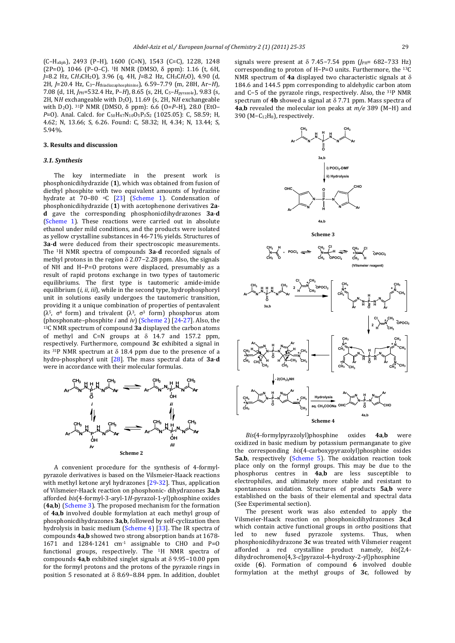(C-H<sub>aliph</sub>), 2493 (P-H), 1600 (C=N), 1543 (C=C), 1228, 1248  $(2P=0)$ , 1046  $(P-O-C)$ . <sup>1</sup>H NMR (DMSO,  $\delta$  ppm): 1.16 (t, 6H, *J*=8.2 Hz, C*H3*CH2O), 3.96 (q, 4H, *J*=8.2 Hz, CH3C*H2*O), 4.90 (d, 2H, *J*=20.4 Hz, C3–*H*thiadiazaphosphinine), 6.59–7.79 (m, 28H, Ar−*H*)*,* 7.08 (d, 1H, *J*PH=532.4 Hz, P–*H*), 8.65 (s, 2H, C5–*H*pyrazole), 9.83 (s, 2H, NH exchangeable with D<sub>2</sub>O), 11.69 (s, 2H, NH exchangeable with D<sub>2</sub>O). <sup>31</sup>P NMR (DMSO, δ ppm): 6.6 (O=*P*–H), 28.0 (EtO– *P*=O). Anal. Calcd. for C<sub>50</sub>H<sub>47</sub>N<sub>10</sub>O<sub>5</sub>P<sub>3</sub>S<sub>2</sub> (1025.05): C, 58.59; H, 4.62; N, 13.66; S, 6.26. Found: C, 58.32; H, 4.34; N, 13.44; S, 5.94%. 

#### **3. Results and discussion**

# *3.1. Synthesis*

The key intermediate in the present work is phosphonicdihydrazide (1), which was obtained from fusion of diethyl phosphite with two equivalent amounts of hydrazine hydrate at 70-80 °C [23] (Scheme 1). Condensation of phosphonicdihydrazide (**1**) with acetophenone derivatives **2a**‐ **d** gave the corresponding phosphonicdihydrazones **3a**‐**d** (Scheme 1). These reactions were carried out in absolute ethanol under mild conditions, and the products were isolated as vellow crystalline substances in 46-71% vields. Structures of **3a-d** were deduced from their spectroscopic measurements. The <sup>1</sup>H NMR spectra of compounds **3a-d** recorded signals of methyl protons in the region  $\delta$  2.07–2.28 ppm. Also, the signals of NH and H-P=O protons were displaced, presumably as a result of rapid protons exchange in two types of tautomeric equilibriums. The first type is tautomeric amide-imide equilibrium (*i*, *ii*, *iii*), while in the second type, hydrophosphoryl unit in solutions easily undergoes the tautomeric transition, providing it a unique combination of properties of pentavalent ( $\lambda^5$ ,  $\sigma^4$  form) and trivalent ( $\lambda^3$ ,  $\sigma^3$  form) phosphorus atom (phosphonate–phosphite *i* and *iv*) (Scheme 2) [24-27]. Also, the <sup>13</sup>C NMR spectrum of compound **3a** displayed the carbon atoms of methyl and  $C=N$  groups at  $\delta$  14.7 and 157.2 ppm, respectively. Furthermore, compound 3c exhibited a signal in its  $31P$  NMR spectrum at  $\delta$  18.4 ppm due to the presence of a hydro-phosphoryl unit [28]. The mass spectral data of **3a-d** were in accordance with their molecular formulas.



A convenient procedure for the synthesis of 4-formylpyrazole derivatives is based on the Vilsmeier-Haack reactions with methyl ketone aryl hydrazones  $[29-32]$ . Thus, application of Vilsmeier‐Haack reaction on phosphonic‐ dihydrazones **3a**,**b** afforded *bis*{4‐formyl‐3‐aryl‐1*H*‐pyrazol‐1‐yl}phosphine oxides (4a,b) (Scheme 3). The proposed mechanism for the formation of 4a,**b** involved double formylation at each methyl group of phosphonicdihydrazones **3a,b**, followed by self-cyclization then hydrolysis in basic medium  $(Scheme 4)$  [33]. The IR spectra of compounds **4a,b** showed two strong absorption bands at 1678– 1671 and 1284-1241  $cm^{-1}$  assignable to CHO and P=O functional groups, respectively. The <sup>1</sup>H NMR spectra of compounds **4a,b** exhibited singlet signals at δ 9.95−10.00 ppm for the formyl protons and the protons of the pyrazole rings in position 5 resonated at  $\delta$  8.69-8.84 ppm. In addition, doublet

signals were present at  $\delta$  7.45-7.54 ppm (*J*PH= 682-733 Hz) corresponding to proton of H-P=O units. Furthermore, the <sup>13</sup>C NMR spectrum of  $4a$  displayed two characteristic signals at  $\delta$ 184.6 and 144.5 ppm corresponding to aldehydic carbon atom and C-5 of the pyrazole rings, respectively. Also, the <sup>31</sup>P NMR spectrum of  $4b$  showed a signal at  $\delta$  7.71 ppm. Mass spectra of **4a,b** revealed the molecular ion peaks at *m/e* 389 (M−H) and 390 (M-C<sub>12</sub>H<sub>8</sub>), respectively.



![](_page_4_Figure_10.jpeg)

![](_page_4_Figure_11.jpeg)

![](_page_4_Figure_12.jpeg)

*Bis*(4‐formylpyrazolyl)phosphine oxides **4a**,**b** were oxidized in basic medium by potassium permanganate to give the corresponding *bis*(4-carboxypyrazolyl)phosphine oxides **5a,b**, respectively (Scheme 5). The oxidation reaction took place only on the formyl groups. This may be due to the phosphorus centres in **4a,b** are less susceptible to electrophiles, and ultimately more stable and resistant to spontaneous oxidation. Structures of products **5a**,**b** were established on the basis of their elemental and spectral data (See Experimental section).

The present work was also extended to apply the Vilsmeier‐Haack reaction on phosphonicdihydrazones **3c**,**d** which contain active functional groups in *ortho* positions that led to new fused pyrazole systems. Thus, when phosphonicdihydrazone 3c was treated with Vilsmeier reagent afforded a red crystalline product namely,  $bis{2,4-}$ dihydrochromeno[4,3‐*c*]pyrazol‐4‐hydroxy‐2‐yl}phosphine oxide (6). Formation of compound 6 involved double formylation at the methyl groups of **3c**, followed by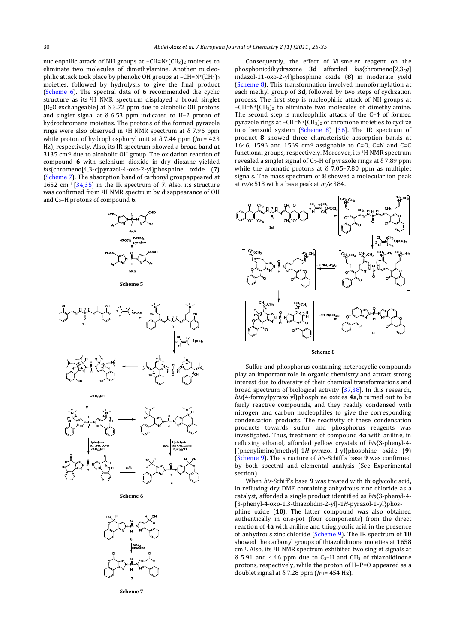nucleophilic attack of NH groups at  $-CH=N+(CH<sub>3</sub>)<sub>2</sub>$  moieties to eliminate two molecules of dimethylamine. Another nucleophilic attack took place by phenolic OH groups at  $-CH=N+(CH_3)_2$ moieties, followed by hydrolysis to give the final product (Scheme 6). The spectral data of 6 recommended the cyclic structure as its <sup>1</sup>H NMR spectrum displayed a broad singlet (D<sub>2</sub>O exchangeable) at  $\delta$  3.72 ppm due to alcoholic OH protons and singlet signal at  $\delta$  6.53 ppm indicated to H–2 proton of hydrochromene moieties. The protons of the formed pyrazole rings were also observed in <sup>1</sup>H NMR spectrum at  $\delta$  7.96 ppm while proton of hydrophosphoryl unit at  $\delta$  7.44 ppm ( $J_{\text{PH}}$  = 423) Hz), respectively. Also, its IR spectrum showed a broad band at  $3135$  cm<sup>-1</sup> due to alcoholic OH group. The oxidation reaction of compound 6 with selenium dioxide in dry dioxane yielded *bis*{chromeno[4,3‐*c*]pyrazol‐4‐oxo‐2‐yl}phosphine oxide (**7**) (Scheme 7). The absorption band of carbonyl groupappeared at 1652 cm<sup>-1</sup>  $\lceil 34,35 \rceil$  in the IR spectrum of 7. Also, its structure was confirmed from <sup>1</sup>H NMR spectrum by disappearance of OH and  $C_2$ –H protons of compound **6**.

![](_page_5_Figure_3.jpeg)

![](_page_5_Figure_4.jpeg)

![](_page_5_Figure_5.jpeg)

**Scheme 6**

![](_page_5_Figure_7.jpeg)

**Scheme 7**

Consequently, the effect of Vilsmeier reagent on the phosphonicdihydrazone **3d** afforded *bis*{chromeno[2,3‐*g*] indazol‐11‐oxo‐2‐yl}phosphine oxide (**8**) in moderate yield (Scheme 8). This transformation involved monoformylation at each methyl group of 3d, followed by two steps of cyclization process. The first step is nucleophilic attack of NH groups at  $-CH=N+(CH_3)_2$  to eliminate two molecules of dimethylamine. The second step is nucleophilic attack of the C-4 of formed pyrazole rings at  $-CH=N+(CH_3)_2$  of chromone moieties to cyclize into benzoid system (Scheme 8)  $[36]$ . The IR spectrum of product 8 showed three characteristic absorption bands at 1646, 1596 and 1569  $cm^{-1}$  assignable to C=O, C=N and C=C functional groups, respectively. Moreover, its <sup>1</sup>H NMR spectrum revealed a singlet signal of C<sub>5</sub>-H of pyrazole rings at  $\delta$  7.89 ppm while the aromatic protons at  $\delta$  7.05–7.80 ppm as multiplet signals. The mass spectrum of 8 showed a molecular ion peak at  $m/e$  518 with a base peak at  $m/e$  384.

![](_page_5_Figure_10.jpeg)

#### **Scheme 8**

Sulfur and phosphorus containing heterocyclic compounds play an important role in organic chemistry and attract strong interest due to diversity of their chemical transformations and broad spectrum of biological activity  $[37,38]$ . In this research, *bis*(4‐formylpyrazolyl)phosphine oxides **4a**,**b** turned out to be fairly reactive compounds, and they readily condensed with nitrogen and carbon nucleophiles to give the corresponding condensation products. The reactivity of these condensation products towards sulfur and phosphorus reagents was investigated. Thus, treatment of compound **4a** with aniline, in refluxing ethanol, afforded yellow crystals of *bis*{3-phenyl-4-[(phenylimino)methyl]‐1*H*‐pyrazol‐1‐yl}phosphine oxide (**9**) (Scheme 9). The structure of *bis*-Schiff's base 9 was confirmed by both spectral and elemental analysis (See Experimental section). 

When *bis*-Schiff's base 9 was treated with thioglycolic acid, in refluxing dry DMF containing anhydrous zinc chloride as a catalyst, afforded a single product identified as  $bis$ {3-phenyl-4-[3‐phenyl‐4‐oxo‐1,3‐thiazolidin‐2‐yl]‐1*H*‐pyrazol‐1‐yl}phos‐

phine oxide (10). The latter compound was also obtained authentically in one-pot (four components) from the direct reaction of 4a with aniline and thioglycolic acid in the presence of anhydrous zinc chloride (Scheme 9). The IR spectrum of 10 showed the carbonyl groups of thiazolidinone moieties at 1658  $cm<sup>-1</sup>$ . Also, its <sup>1</sup>H NMR spectrum exhibited two singlet signals at  $\delta$  5.91 and 4.46 ppm due to C<sub>2</sub>–H and CH<sub>2</sub> of thiazolidinone protons, respectively, while the proton of  $H-P=O$  appeared as a doublet signal at  $\delta$  7.28 ppm ( $J_{PH}$ = 454 Hz).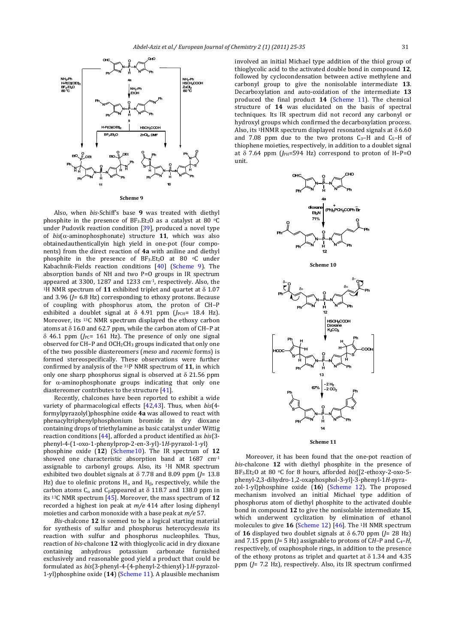![](_page_6_Figure_1.jpeg)

Also, when *bis*-Schiff's base 9 was treated with diethyl phosphite in the presence of  $BF_3.Et_2O$  as a catalyst at 80  $^{\circ}$ C under Pudovik reaction condition  $[39]$ , produced a novel type of  $bis(\alpha$ -aminophosphonate) structure **11**, which was also obtainedauthenticallyin high yield in one-pot (four components) from the direct reaction of 4a with aniline and diethyl phosphite in the presence of  $BF_3.Et_2O$  at 80  $\circ$ C under Kabachnik-Fields reaction conditions [40] (Scheme 9). The absorption bands of NH and two  $P=O$  groups in IR spectrum appeared at 3300, 1287 and 1233 cm-1, respectively. Also, the <sup>1</sup>H NMR spectrum of **11** exhibited triplet and quartet at  $\delta$  1.07 and 3.96 ( $J$ = 6.8 Hz) corresponding to ethoxy protons. Because of coupling with phosphorus atom, the proton of CH-P exhibited a doublet signal at  $\delta$  4.91 ppm ( $J_{PCH}$ = 18.4 Hz). Moreover, its <sup>13</sup>C NMR spectrum displayed the ethoxy carbon atoms at  $\delta$  16.0 and 62.7 ppm, while the carbon atom of CH–P at  $\delta$  46.1 ppm ( $J$ <sub>PC</sub>= 161 Hz). The presence of only one signal observed for CH-P and OCH<sub>2</sub>CH<sub>3</sub> groups indicated that only one of the two possible diastereomers (*meso* and *racemic* forms) is formed stereospecifically. These observations were further confirmed by analysis of the  $31P$  NMR spectrum of 11, in which only one sharp phosphorus signal is observed at  $\delta$  21.56 ppm for  $\alpha$ -aminophosphonate groups indicating that only one diastereomer contributes to the structure  $[41]$ .

Recently, chalcones have been reported to exhibit a wide variety of pharmacological effects [42,43]. Thus, when *bis*(4formylpyrazolyl)phosphine oxide 4a was allowed to react with phenacyltriphenylphosphonium bromide in dry dioxane containing drops of triethylamine as basic catalyst under Wittig reaction conditions [44], afforded a product identified as *bis*{3phenyl‐4‐(1‐oxo‐1‐phenylprop‐2‐en‐3‐yl)‐1*H*‐pyrazol‐1‐yl} phosphine oxide (12) (Scheme10). The IR spectrum of 12 showed one characteristic absorption band at  $1687 \text{ cm} \cdot 1$ assignable to carbonyl groups. Also, its  $1H$  NMR spectrum exhibited two doublet signals at  $\delta$  7.78 and 8.09 ppm  $\hat{I}$  = 13.8 Hz) due to olefinic protons  $H_{\alpha}$  and  $H_{\beta}$ , respectively, while the carbon atoms  $C_\alpha$  and  $C_\beta$ appeared at  $\delta$  118.7 and 138.0 ppm in its <sup>13</sup>C NMR spectrum [45]. Moreover, the mass spectrum of 12 recorded a highest ion peak at  $m/e$  414 after losing diphenyl moieties and carbon monoxide with a base peak at  $m/e$  57.

*Bis*-chalcone 12 is seemed to be a logical starting material for synthesis of sulfur and phosphorus heterocyclesvia its reaction with sulfur and phosphorus nucleophiles. Thus, reaction of *bis*-chalcone **12** with thioglycolic acid in dry dioxane containing anhydrous potassium carbonate furnished exclusively and reasonable good yield a product that could be formulated as *bis*{3‐phenyl‐4‐(4‐phenyl‐2‐thienyl)‐1*H*‐pyrazol‐ 1-yl}phosphine oxide (14) (Scheme 11). A plausible mechanism

involved an initial Michael type addition of the thiol group of thioglycolic acid to the activated double bond in compound 12. followed by cyclocondensation between active methylene and carbonyl group to give the nonisolable intermediate 13. Decarboxylation and auto-oxidation of the intermediate 13 produced the final product 14 (Scheme 11). The chemical structure of 14 was elucidated on the basis of spectral techniques. Its IR spectrum did not record any carbonyl or hydroxyl groups which confirmed the decarboxylation process. Also, its <sup>1</sup>HNMR spectrum displayed resonated signals at  $\delta$  6.60 and  $7.08$  ppm due to the two protons  $C_3$ -H and  $C_5$ -H of thiophene moieties, respectively, in addition to a doublet signal at  $\delta$  7.64 ppm ( $J_{PH}$ =594 Hz) correspond to proton of H–P=O unit. 

![](_page_6_Figure_6.jpeg)

![](_page_6_Figure_7.jpeg)

![](_page_6_Figure_8.jpeg)

Moreover, it has been found that the one-pot reaction of *bis*-chalcone 12 with diethyl phosphite in the presence of BF<sub>3</sub>.Et<sub>2</sub>O at 80 °C for 8 hours, afforded *bis*{[2-ethoxy-2-oxo-5phenyl‐2,3‐dihydro‐1,2‐oxaphosphol‐3‐yl]‐3‐phenyl‐1*H*‐pyra‐ zol-1-yl}phosphine oxide (16) (Scheme 12). The proposed mechanism involved an initial Michael type addition of phosphorus atom of diethyl phosphite to the activated double bond in compound 12 to give the nonisolable intermediate 15, which underwent cyclization by elimination of ethanol molecules to give  $16$  (Scheme 12) [46]. The <sup>1</sup>H NMR spectrum of **16** displayed two doublet signals at  $\delta$  6.70 ppm ( $J$ = 28 Hz) and  $7.15$  ppm  $(J=5$  Hz) assignable to protons of CH–P and C<sub>4</sub>–*H*, respectively, of oxaphosphole rings, in addition to the presence of the ethoxy protons as triplet and quartet at  $\delta$  1.34 and 4.35 ppm ( $J$ = 7.2 Hz), respectively. Also, its IR spectrum confirmed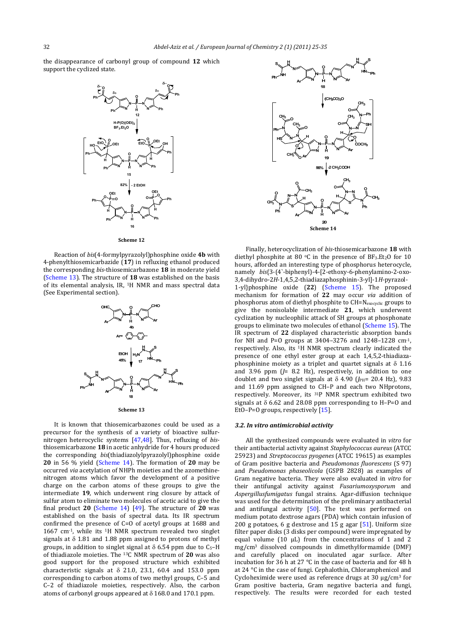the disappearance of carbonyl group of compound 12 which support the cyclized state.

![](_page_7_Figure_2.jpeg)

**Scheme 12**

Reaction of  $bis$ (4-formylpyrazolyl)phosphine oxide 4b with 4-phenylthiosemicarbazide (17) in refluxing ethanol produced the corresponding bis-thiosemicarbazone 18 in moderate yield (Scheme 13). The structure of 18 was established on the basis of its elemental analysis, IR, <sup>1</sup>H NMR and mass spectral data (See Experimental section). 

![](_page_7_Figure_5.jpeg)

**Scheme 13**

It is known that thiosemicarbazones could be used as a precursor for the synthesis of a variety of bioactive sulfurnitrogen heterocyclic systems  $[47,48]$ . Thus, refluxing of *bis*– thiosemicarbazone 18 in acetic anhydride for 4 hours produced the corresponding *bis*(thiadiazolylpyrazolyl)phosphine oxide **20** in 56 % yield (Scheme 14). The formation of 20 may be occurred *via* acetylation of NHPh moieties and the azomethinenitrogen atoms which favor the development of a positive charge on the carbon atoms of these groups to give the intermediate **19**, which underwent ring closure by attack of sulfur atom to eliminate two molecules of acetic acid to give the final product  $20$  (Scheme 14) [49]. The structure of  $20$  was established on the basis of spectral data. Its IR spectrum confirmed the presence of  $C=0$  of acetyl groups at 1688 and  $1667$  cm<sup>-1</sup>, while its <sup>1</sup>H NMR spectrum revealed two singlet signals at  $\delta$  1.81 and 1.88 ppm assigned to protons of methyl groups, in addition to singlet signal at  $\delta$  6.54 ppm due to C<sub>5</sub>–H of thiadiazole moieties. The <sup>13</sup>C NMR spectrum of 20 was also good support for the proposed structure which exhibited characteristic signals at  $\delta$  21.0, 23.1, 60.4 and 153.0 ppm corresponding to carbon atoms of two methyl groups, C-5 and C–2 of thiadiazole moieties, respectively. Also, the carbon atoms of carbonyl groups appeared at  $\delta$  168.0 and 170.1 ppm.

![](_page_7_Figure_8.jpeg)

Finally, heterocyclization of *bis*‐thiosemicarbazone **18** with diethyl phosphite at 80  $\circ$ C in the presence of BF<sub>3</sub>.Et<sub>2</sub>O for 10 hours, afforded an interesting type of phosphorus heterocycle, namely *bis*{3-(4`-biphenyl)-4-[2-ethoxy-6-phenylamino-2-oxo-3,4‐dihydro‐2*H*‐1,4,5,2‐thiadiazaphosphinin‐3‐yl]‐1*H*‐pyrazol‐ 1-yl}phosphine oxide (22) (Scheme 15). The proposed mechanism for formation of 22 may occur *via* addition of phosphorus atom of diethyl phosphite to CH=N<sub>exocyclic</sub> groups to give the nonisolable intermediate 21, which underwent cyclization by nucleophilic attack of SH groups at phosphonate groups to eliminate two molecules of ethanol (Scheme 15). The IR spectrum of 22 displayed characteristic absorption bands for NH and P=O groups at  $3404-3276$  and  $1248-1228$  cm<sup>-1</sup>, respectively. Also, its <sup>1</sup>H NMR spectrum clearly indicated the presence of one ethyl ester group at each 1,4,5,2-thiadiazaphosphinine moiety as a triplet and quartet signals at  $\delta$  1.16 and  $3.96$  ppm  $($ *J*= $8.2$  Hz), respectively, in addition to one doublet and two singlet signals at  $\delta$  4.90 (*J*PH= 20.4 Hz), 9.83 and 11.69 ppm assigned to CH-P and each two NHprotons, respectively. Moreover, its <sup>31</sup>P NMR spectrum exhibited two signals at  $\delta$  6.62 and 28.08 ppm corresponding to H-P=O and EtO-P=O groups, respectively [15].

#### *3.2. In vitro antimicrobial activity*

All the synthesized compounds were evaluated in *vitro* for their antibacterial activity against *Staphylococcus aureus* (ATCC 25923) and *Streptococcus pyogenes* (ATCC 19615) as examples of Gram positive bacteria and *Pseudomonas fluorescens* (S 97) and *Pseudomonas phaseolicola* (GSPB 2828) as examples of Gram negative bacteria. They were also evaluated in *vitro* for their antifungal activity against *Fusariumoxysporum* and Aspergillusfumigatus fungal strains. Agar-diffusion technique was used for the determination of the preliminary antibacterial and antifungal activity  $[50]$ . The test was performed on medium potato dextrose agars (PDA) which contain infusion of 200 g potatoes, 6 g dextrose and 15 g agar  $[51]$ . Uniform size filter paper disks (3 disks per compound) were impregnated by equal volume  $(10 \mu L)$  from the concentrations of 1 and 2  $mg/cm^3$  dissolved compounds in dimethylformamide (DMF) and carefully placed on inoculated agar surface. After incubation for  $36$  h at  $27$  °C in the case of bacteria and for  $48$  h at  $24$  °C in the case of fungi. Cephalothin, Chloramphenicol and Cycloheximide were used as reference drugs at 30  $\mu$ g/cm<sup>3</sup> for Gram positive bacteria, Gram negative bacteria and fungi, respectively. The results were recorded for each tested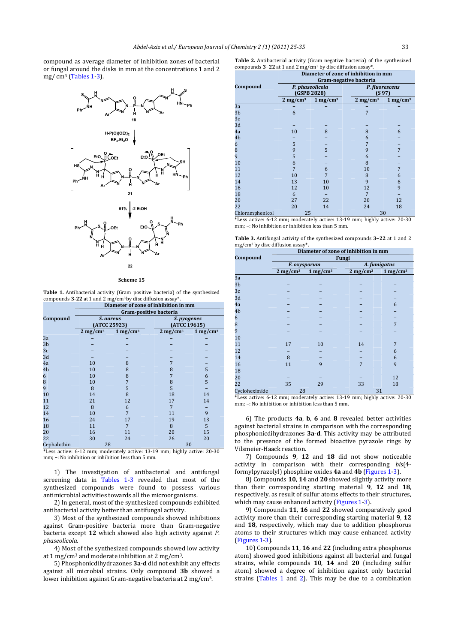compound as average diameter of inhibition zones of bacterial or fungal around the disks in mm at the concentrations 1 and 2 mg/ $cm<sup>3</sup>$  (Tables 1-3).

![](_page_8_Figure_2.jpeg)

#### **Scheme 15**

Table 1. Antibacterial activity (Gram positive bacteria) of the synthesized compounds 3-22 at 1 and 2 mg/cm<sup>3</sup> by disc diffusion assay<sup>\*</sup>

|                | Diameter of zone of inhibition in mm |                           |                             |                     |  |  |  |  |
|----------------|--------------------------------------|---------------------------|-----------------------------|---------------------|--|--|--|--|
|                | Gram-positive bacteria               |                           |                             |                     |  |  |  |  |
| Compound       |                                      | S. aureus<br>(ATCC 25923) | S. pyogenes<br>(ATCC 19615) |                     |  |  |  |  |
|                | $2 \text{ mg/cm}^3$                  | $1 \text{ mg/cm}^3$       | $2 \text{ mg/cm}^3$         | $1 \text{ mg/cm}^3$ |  |  |  |  |
| 3a             |                                      |                           |                             |                     |  |  |  |  |
| 3 <sub>b</sub> |                                      |                           |                             |                     |  |  |  |  |
| 3c             |                                      |                           |                             |                     |  |  |  |  |
| 3d             |                                      |                           |                             |                     |  |  |  |  |
| 4a             | 10                                   | 8                         | 7                           |                     |  |  |  |  |
| 4b             | 10                                   | 8                         | 8                           | 5                   |  |  |  |  |
| 6              | 10                                   | 8                         | 7                           | 6                   |  |  |  |  |
| 8              | 10                                   | 7                         | 8                           | 5                   |  |  |  |  |
| 9              | 8                                    | 5                         | 5                           |                     |  |  |  |  |
| 10             | 14                                   | 8                         | 18                          | 14                  |  |  |  |  |
| 11             | 21                                   | 12                        | 17                          | 14                  |  |  |  |  |
| 12             | 8                                    | 6                         | 7                           |                     |  |  |  |  |
| 14             | 10                                   | 7                         | 11                          | 9                   |  |  |  |  |
| 16             | 24                                   | 17                        | 19                          | 13                  |  |  |  |  |
| 18             | 11                                   | 7                         | 8                           | 5                   |  |  |  |  |
| 20             | 16                                   | 11                        | 20                          | 15                  |  |  |  |  |
| 22             | 30                                   | 24                        | 26                          | 20                  |  |  |  |  |
| Cephalothin    | 28                                   |                           |                             | 30                  |  |  |  |  |

 $*$ Less active: 6-12 mm; moderately active: 13-19 mm; highly active: 20-30 mm;  $-$ : No inhibition or inhibition less than 5 mm.

1) The investigation of antibacterial and antifungal screening data in Tables 1-3 revealed that most of the synthesized compounds were found to possess various antimicrobial activities towards all the microorganisms.

2) In general, most of the synthesized compounds exhibited antibacterial activity better than antifungal activity.

3) Most of the synthesized compounds showed inhibitions against Gram-positive bacteria more than Gram-negative bacteria except 12 which showed also high activity against *P*. *phaseolicola.*

4) Most of the synthesized compounds showed low activity at  $1 \text{ mg/cm}^3$  and moderate inhibition at  $2 \text{ mg/cm}^3$ .

5) Phosphonicdihydrazones **3a-d** did not exhibit any effects against all microbial strains. Only compound 3b showed a lower inhibition against Gram-negative bacteria at  $2 \text{ mg/cm}^3$ .

|  |  |  |                                                                          | <b>Table 2.</b> Antibacterial activity (Gram negative bacteria) of the synthesized |
|--|--|--|--------------------------------------------------------------------------|------------------------------------------------------------------------------------|
|  |  |  | compounds $3-22$ at 1 and 2 mg/cm <sup>3</sup> by disc diffusion assay*. |                                                                                    |

|                 | Diameter of zone of inhibition in mm |                     |        |                          |                     |  |  |
|-----------------|--------------------------------------|---------------------|--------|--------------------------|---------------------|--|--|
|                 | Gram-negative bacteria               |                     |        |                          |                     |  |  |
| Compound        | P. phaseolicola<br>(GSPB 2828)       |                     |        | P. fluorescens<br>(S 97) |                     |  |  |
|                 | $2 \text{ mg/cm}^3$                  | $1 \text{ mg/cm}^3$ |        | $2 \text{ mg/cm}^3$      | $1 \text{ mg/cm}^3$ |  |  |
| 3a              |                                      |                     |        |                          |                     |  |  |
| 3 <sub>b</sub>  | 6                                    |                     |        | 7                        |                     |  |  |
| 3c              |                                      |                     |        |                          |                     |  |  |
| 3d              |                                      |                     |        |                          |                     |  |  |
| 4a              | 10                                   | 8                   |        | 8                        | 6                   |  |  |
| 4b              |                                      |                     |        | 6                        |                     |  |  |
| 6               | 5                                    |                     |        | 7                        |                     |  |  |
| 8               | 9                                    | 5                   |        | 9                        | 7                   |  |  |
| 9               | 5                                    |                     |        | 6                        |                     |  |  |
| 10              | 6                                    |                     |        | 8                        |                     |  |  |
| 11              |                                      | 6                   |        | 10                       | 7                   |  |  |
| 12              | 10                                   | 7                   |        | 8                        | 6                   |  |  |
| 14              | 13                                   | 10                  |        | 9                        | 6                   |  |  |
| 16              | 12                                   | 10                  |        | 12                       | 9                   |  |  |
| 18              | 6                                    |                     |        | 7                        |                     |  |  |
| 20              | 27                                   | 22                  |        | 20                       | 12                  |  |  |
| 22              | 20                                   | 14                  |        | 24                       | 18                  |  |  |
| Chloramphenicol | 25<br>30                             |                     |        |                          |                     |  |  |
| $1.9 - 1.0$     |                                      | $\sim$              | $\sim$ | .                        | $\sim$ $\sim$       |  |  |

 $*$ Less active: 6-12 mm; moderately active: 13-19 mm; highly active: 20-30 mm:  $-$ : No inhibition or inhibition less than 5 mm.

Table 3. Antifungal activity of the synthesized compounds 3-22 at 1 and 2 mg/cm<sup>3</sup> by disc diffusion assay\*.

|                | Diameter of zone of inhibition in mm |                     |                        |                        |  |  |  |  |
|----------------|--------------------------------------|---------------------|------------------------|------------------------|--|--|--|--|
| Compound       | Fungi                                |                     |                        |                        |  |  |  |  |
|                |                                      | F. oxysporum        | A. fumigatus           |                        |  |  |  |  |
|                | $2 \text{ mg/cm}^3$                  | $1 \text{ mg/cm}^3$ | $2$ mg/cm <sup>3</sup> | $1$ mg/cm <sup>3</sup> |  |  |  |  |
| 3a             |                                      |                     |                        |                        |  |  |  |  |
| 3 <sub>b</sub> |                                      |                     |                        |                        |  |  |  |  |
| 3c             |                                      |                     |                        |                        |  |  |  |  |
| 3d             |                                      |                     |                        |                        |  |  |  |  |
| 4a             |                                      |                     |                        | 6                      |  |  |  |  |
| 4b             |                                      |                     |                        |                        |  |  |  |  |
| 6              |                                      |                     |                        |                        |  |  |  |  |
| 8              |                                      |                     |                        | $\overline{7}$         |  |  |  |  |
| 9              |                                      |                     |                        |                        |  |  |  |  |
| 10             |                                      |                     |                        |                        |  |  |  |  |
| 11             | 17                                   | 10                  | 14                     | 7                      |  |  |  |  |
| 12             |                                      |                     |                        | 6                      |  |  |  |  |
| 14             | 8                                    |                     |                        | 6                      |  |  |  |  |
| 16             | 11                                   | 9                   | 7                      | 9                      |  |  |  |  |
| 18             |                                      |                     |                        |                        |  |  |  |  |
| 20             |                                      |                     |                        | 12                     |  |  |  |  |
| 22             | 35                                   | 29                  | 33                     | 18                     |  |  |  |  |
| Cycloheximide  | 28                                   |                     | 31                     |                        |  |  |  |  |

\*Less active: 6-12 mm; moderately active: 13-19 mm; highly active: 20-30 mm;  $-$ : No inhibition or inhibition less than 5 mm.

6) The products **4a**, **b**, **6** and **8** revealed better activities against bacterial strains in comparison with the corresponding phosphonicdihydrazones **3a-d**. This activity may be attributed to the presence of the formed bioactive pyrazole rings by Vilsmeier‐Haack reaction. 

7) Compounds **9**, **12** and **18** did not show noticeable activity in comparison with their corresponding *bis*(4formylpyrazolyl) phosphine oxides 4a and 4b (Figures 1-3).

8) Compounds 10, 14 and 20 showed slightly activity more than their corresponding starting material **9**, **12** and **18**, respectively, as result of sulfur atoms effects to their structures, which may cause enhanced activity (Figures 1-3).

9) Compounds **11**, **16** and **22** showed comparatively good activity more than their corresponding starting material 9, 12 and 18, respectively, which may due to addition phosphorus atoms to their structures which may cause enhanced activity (Figures 1-3).

10) Compounds **11**, **16** and **22** (including extra phosphorus atom) showed good inhibitions against all bacterial and fungal strains, while compounds 10, 14 and 20 (including sulfur atom) showed a degree of inhibition against only bacterial strains (Tables  $1$  and  $2$ ). This may be due to a combination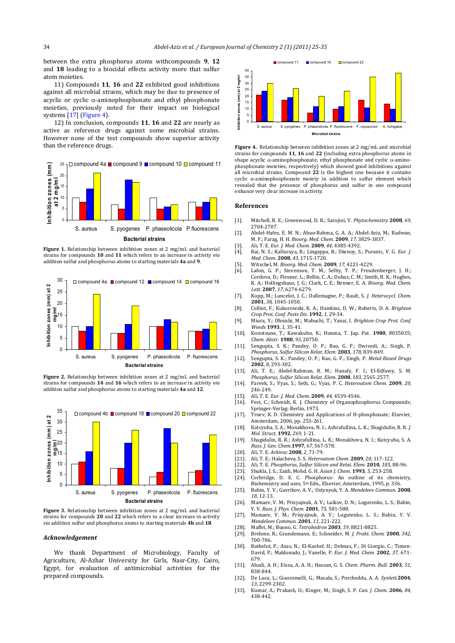between the extra phosphorus atoms withcompounds 9, 12 and 18 leading to a biocidal effects activity more that sulfur atom moieties. 

11) Compounds 11, 16 and 22 exhibited good inhibitions against all microbial strains, which may be due to presence of acyclic or cyclic  $\alpha$ -aminophosphonate and ethyl phosphonate moieties, previously noted for their impact on biological systems  $[17]$  (Figure 4).

12) In conclusion, compounds **11**, **16** and **22** are nearly as active as reference drugs against some microbial strains. However none of the test compounds show superior activity than the reference drugs.

![](_page_9_Figure_4.jpeg)

**Figure 1.** Relationship between inhibition zones at 2 mg/mL and bacterial strains for compounds **10** and **11** which refers to an increase in activity via addition sulfur and phosphorus atoms to starting materials 4a and 9.

![](_page_9_Figure_6.jpeg)

**Figure 2.** Relationship between inhibition zones at 2 mg/mL and bacterial strains for compounds **14** and **16** which refers to an increase in activity via addition sulfur and phosphorus atoms to starting materials 4a and 12.

![](_page_9_Figure_8.jpeg)

**Figure** 3. Relationship between inhibition zones at 2 mg/mL and bacterial strains for compounds 20 and 22 which refers to a clear increase in activity *via* addition sulfur and phosphorus atoms to starting materials **4b** and **18**.

# *Acknowledgement*

We thank Department of Microbiology, Faculty of Agriculture, Al-Azhar University for Girls, Nasr-City, Cairo, Egypt, for evaluation of antimicrobial activities for the prepared compounds.

![](_page_9_Figure_12.jpeg)

**Figure 4.** Relationship between inhibition zones at 2 mg/mL and microbial strains for compounds **11**, **16** and **22** (including extra phosphorus atoms in shape acyclic  $\alpha$ -aminophosphonate, ethyl phosphonate and cyclic  $\alpha$ -aminophosphonate moieties, respectively) which showed good inhibitions against all microbial strains. Compound 22 is the highest one because it contains cyclic  $\alpha$ -aminophosphonate moiety in addition to sulfur element which revealed that the presence of phosphorus and sulfur in one compound enhance very clear increase in activity.

#### **References**

- [1]. Mitchell, R. E.; Greenwood, D. R.; Sarojini, V. *Phytochemistry* **2008**, *69,* 2704‐2707*.*
- [2]. Abdel-Hafez, E. M. N.; Abuo-Rahma, G. A. A.; Abdel-Aziz, M.; Radwan, M. F.; Farag, H. H. *Bioorg. Med. Chem.* **2009**, *17,* 3829‐3837.
- [3]. Ali, T. E. *Eur. J. Med. Chem*. **2009**, *44*, 4385‐4392.
- [4]. Rai, N. S.; Kalluraya, B.; Lingappa, B.; Shenoy, S.; Puranic, V. G. *Eur. J. Med. Chem*. **2008**, *43*, 1715‐1720.
- [5]. Witschel, M. *Bioorg. Med. Chem.* **2009**, *17,* 4221‐4229.
- [6]. Lahm, G. P.; Stevenson, T. M.; Selby, T. P.; Freudenberger, J. H.; Cordova, D.; Flexner, L.; Bellin, C. A.; Dubas, C. M.; Smith, B. K.; Hughes, K. A.; Hollingshaus, J. G.; Clark, C. E.; Benner, E. A. *Bioorg. Med. Chem. Lett.* **2007**, *17*, 6274‐6279.
- [7]. Kopp, M.; Lancelot, J. C.; Dallemagne, P.; Rault, S. *J. Heterocycl. Chem.* **2001**, *38*, 1045‐1050.
- [8]. Colliot, F.; Kukorowski, K. A.; Hawkins, D. W.; Roberts, D. A. *Brighton Crop Prot. Conf. Pests Dis.* **1992***, 1,* 29‐34.
- [9]. Miura, Y.; Ohnishi, M.; Mabuchi, T.; Yanai, I. *Brighton Crop Prot. Conf. Weeds* **1993**, *1*, 35‐41.
- [10]. Konotsune, T.; Kawakubo, K.; Honma, T. Jap. Pat. **1980**, 8035035; *Chem. Abstr*. **1980**, *93*, 20750.
- [11]. Sengupta, S. K.; Pandey, O. P.; Rao, G. P.; Dwivedi, A.; Singh, P. *Phosphorus, Sulfur Silicon Relat. Elem*. **2003**, *178*, 839‐849.
- [12]. Sengupta, S. K.; Pandey, O. P.; Rao, G. P.; Singh, P. *Metal‐Based Drugs* **2002**, *8*, 293‐302.
- [13]. Ali, T. E.; Abdel-Rahman, R. M.; Hanafy, F. I.; El-Edfawy, S. M. *Phosphorus, Sulfur Silicon Relat. Elem*. **2008**, *183*, 2565‐2577.
- [14]. Pareek, S.; Vyas, S.; Seth, G.; Vyas, P. C. *Heteroatom Chem.* 2009, 20, 246‐249.
- [15]. Ali, T. E. *Eur. J. Med. Chem.* **2009**, *44*, 4539‐4546.
- [16]. Fest, C.; Schmidt, K. J. Chemistry of Organophosphorus Compounds; Springer-Verlag: Berlin, 1973.
- [17]. Troev, K. D. Chemistry and Applications of H-phosphonate; Elsevier, Amsterdam, 2006, pp. 253-261.
- [18]. Katcyuba, S. A.; Monakhova, N. I.; Ashrafullina, L. K.; Shagidulin, R. R. *J. Mol. Struct*. **1992**, *269*, 1‐21.
- [19]. Shagidulin, R. R.; Ashrafullina, L. K.; Monakhova, N. I.; Katcyuba, S. A. *Russ. J. Gen. Chem.***1997**, *67*, 567‐578.
- [20]. Ali, T. E. *Arkivoc* **2008**, 2, 71-79.<br>[21]. Ali, T. E.: Halacheva, S. S. *Heterol*
- [21]. Ali, T. E.; Halacheva, S. S. *Heteroatom Chem.* **2009**, *20*, 117‐122.
- [22]. Ali, T. E. *Phosphorus, Sulfur Silicon and Relat. Elem.* **2010**, *185*, 88‐96.
- [23]. Shukla, J. S.; Zaidi, Mohd. G. H. *Asian J. Chem*. **1993**, *5,* 253‐258.
- [24]. Corbridge, D. E. C. Phosphorus: An outline of its chemistry, Biohemistry and uses, 5<sup>th</sup> Edn., Elsevier, Amsterdam, 1995, p. 336.
- [25]. Babin, Y. V.; Gavrikov, A. V.; Ustynyuk, Y. A. Mendeleev Commun. 2008, *18*, 12‐13.
- [26]. Mamaev, V. M.; Prisyajnuk, A. V.; Laikov, D. N.; Logutenko, L. S.; Babin, Y. V. *Russ. J. Phys. Chem.* **2001**, *75*, 581‐588.
- [27]. Mamaev, V. M.; Prisyajnuk, A. V.; Logutenko, L. S.; Babin, Y. V. *Mendeleev Commun*. **2001**, *11*, 221‐222.
- [28]. Maffei, M.; Buono, G. Tetrahedron 2003, 59, 8821-8825.
- [29]. Brehme, R.; Grundemann, E.; Schneider, M. *J. Prakt. Chem*. **2000**, *342*, 700‐706.
- [30]. Rathelot, P.; Azas, N.; El-Kashef, H.; Delmas, F.; Di Giorgio, C.; Timon-David, P.; Maldonado, J.; Vanelle, P. *Eur. J. Med. Chem*. **2002**, *37*, 671‐ 679.
- [31]. Abadi, A. H.; Eissa, A. A. H.; Hassan, G. S. *Chem. Pharm. Bull.* 2003, 51, 838‐844.
- [32]. De Luca, L.; Giaocomelli, G.; Masala, S.; Porcheddu, A. A. Synlett.<sup>2004</sup>, *13*, 2299‐2302.
- [33]. Kumar, A.; Prakash, O.; Kinger, M.; Singh, S. P. Can. J. Chem. 2006, 84, 438‐442.